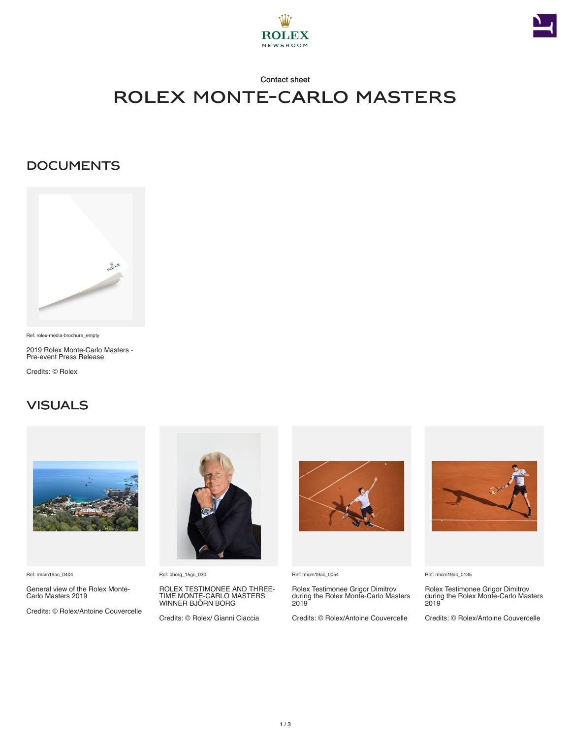



#### Contact sheet

# rolex monte-carlo masters

### **DOCUMENTS**



Ref: rolex-media-brochure\_empty

2019 Rolex Monte-Carlo Masters - Pre-event Press Release

Credits: © Rolex

## **VISUALS**



Ref: rmcm19ac\_0404

General view of the Rolex Monte-Carlo Masters 2019

Credits: © Rolex/Antoine Couvercelle



Ref: bborg\_15gc\_030

ROLEX TESTIMONEE AND THREE-TIME MONTE-CARLO MASTERS WINNER BJÖRN BORG

Credits: © Rolex/ Gianni Ciaccia



Ref: rmcm19ac\_0054

Rolex Testimonee Grigor Dimitrov during the Rolex Monte-Carlo Masters 2019

Credits: © Rolex/Antoine Couvercelle



Ref: rmcm19ac\_0135

Rolex Testimonee Grigor Dimitrov during the Rolex Monte-Carlo Masters 2019

Credits: © Rolex/Antoine Couvercelle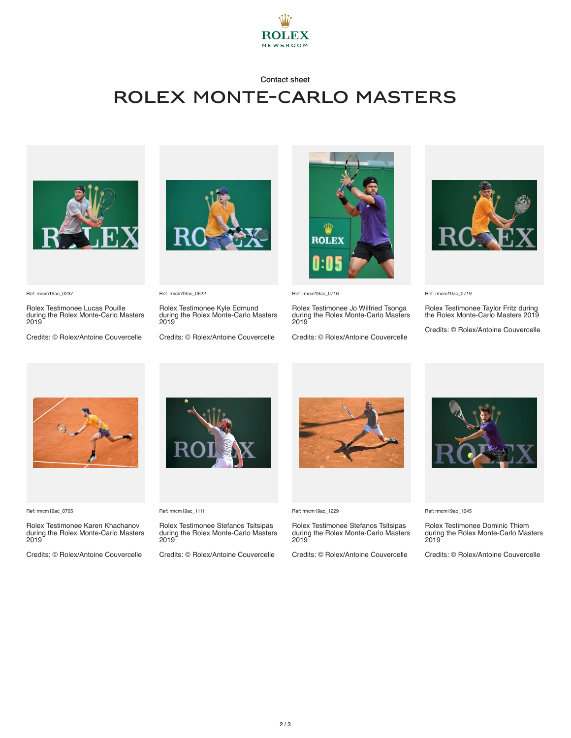

#### Contact sheet

## rolex monte-carlo masters



Ref: rmcm19ac\_0237

Rolex Testimonee Lucas Pouille during the Rolex Monte-Carlo Masters 2019

Credits: © Rolex/Antoine Couvercelle



Ref: rmcm19ac\_0622

Rolex Testimonee Kyle Edmund during the Rolex Monte-Carlo Masters 2019

Credits: © Rolex/Antoine Couvercelle



Ref: rmcm19ac\_0716

Rolex Testimonee Jo Wilfried Tsonga during the Rolex Monte-Carlo Masters 2019

Credits: © Rolex/Antoine Couvercelle



Ref: rmcm19ac\_0719

Rolex Testimonee Taylor Fritz during the Rolex Monte-Carlo Masters 2019

Credits: © Rolex/Antoine Couvercelle



Ref: rmcm19ac\_0765

Rolex Testimonee Karen Khachanov during the Rolex Monte-Carlo Masters 2019

Credits: © Rolex/Antoine Couvercelle



Ref: rmcm19ac\_1111

Rolex Testimonee Stefanos Tsitsipas during the Rolex Monte-Carlo Masters 2019

Credits: © Rolex/Antoine Couvercelle



Ref: rmcm19ac\_1229

Rolex Testimonee Stefanos Tsitsipas during the Rolex Monte-Carlo Masters 2019

Credits: © Rolex/Antoine Couvercelle



Ref: rmcm19ac\_1645

Rolex Testimonee Dominic Thiem during the Rolex Monte-Carlo Masters 2019

Credits: © Rolex/Antoine Couvercelle